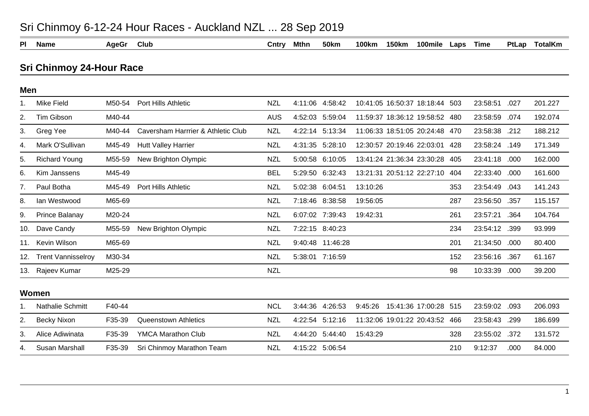| <b>150km</b><br>100mile<br><b>TotalKm</b><br><b>PI</b><br><b>Name</b><br>AgeGr<br>Club<br>Cntry<br>Mthn<br><b>50km</b><br><b>100km</b><br>Laps<br>Time<br>PtLap<br><b>Sri Chinmoy 24-Hour Race</b><br>Men<br><b>Mike Field</b><br><b>NZL</b><br>4:11:06 4:58:42<br>201.227<br>M50-54<br>Port Hills Athletic<br>10:41:05 16:50:37 18:18:44<br>23:58:51<br>.027<br>503<br>1.<br>Tim Gibson<br>M40-44<br><b>AUS</b><br>4:52:03 5:59:04<br>11:59:37 18:36:12 19:58:52 480<br>23:58:59<br>192.074<br>.074<br>2.<br>188.212<br>Caversham Harrrier & Athletic Club<br><b>NZL</b><br>4:22:14 5:13:34<br>11:06:33 18:51:05 20:24:48 470<br>23:58:38 .212<br>3.<br>Greg Yee<br>M40-44<br>Mark O'Sullivan<br>12:30:57 20:19:46 22:03:01<br>171.349<br>M45-49<br><b>Hutt Valley Harrier</b><br><b>NZL</b><br>4:31:35 5:28:10<br>23:58:24 .149<br>428<br>4.<br><b>Richard Young</b><br>New Brighton Olympic<br>5:00:58 6:10:05<br>13:41:24 21:36:34 23:30:28<br>23:41:18<br>162.000<br>M55-59<br><b>NZL</b><br>.000<br>5.<br>405<br>M45-49<br><b>BEL</b><br>5:29:50 6:32:43<br>13:21:31 20:51:12 22:27:10<br>22:33:40<br>Kim Janssens<br>.000<br>161.600<br>6.<br>404<br>Paul Botha<br>Port Hills Athletic<br>5:02:38 6:04:51<br>13:10:26<br>141.243<br>M45-49<br><b>NZL</b><br>23:54:49<br>.043<br>7.<br>353<br>M65-69<br>19:56:05<br>115.157<br>Ian Westwood<br><b>NZL</b><br>7:18:46 8:38:58<br>287<br>23:56:50 .357<br>8.<br>Prince Balanay<br>M20-24<br><b>NZL</b><br>6:07:02 7:39:43<br>23:57:21<br>104.764<br>9.<br>19:42:31<br>.364<br>261<br>Dave Candy<br>7:22:15 8:40:23<br>23:54:12<br>93.999<br>M55-59<br>New Brighton Olympic<br><b>NZL</b><br>234<br>.399<br>10.<br>Kevin Wilson<br>M65-69<br><b>NZL</b><br>9:40:48 11:46:28<br>21:34:50<br>80.400<br>.000<br>201<br>11.<br><b>NZL</b><br><b>Trent Vannisselroy</b><br>M30-34<br>5:38:01 7:16:59<br>23:56:16<br>61.167<br>152<br>.367<br>12.<br><b>NZL</b><br>Rajeev Kumar<br>M25-29<br>98<br>10:33:39<br>.000<br>39.200<br>13.<br>Women<br>F40-44<br><b>NCL</b><br>206.093<br><b>Nathalie Schmitt</b><br>3:44:36 4:26:53<br>9:45:26<br>15:41:36 17:00:28 515<br>23:59:02<br>.093<br>11:32:06 19:01:22 20:43:52 466<br>186.699<br>Becky Nixon<br>F35-39<br><b>Queenstown Athletics</b><br><b>NZL</b><br>4:22:54 5:12:16<br>23:58:43<br>2.<br>.299<br>Alice Adiwinata<br>F35-39<br><b>YMCA Marathon Club</b><br>4:44:20 5:44:40<br>15:43:29<br>23:55:02<br>131.572<br>3.<br><b>NZL</b><br>328<br>.372<br>84.000<br>Susan Marshall<br>F35-39<br>Sri Chinmoy Marathon Team<br><b>NZL</b><br>4:15:22 5:06:54<br>9:12:37<br>.000<br>210<br>4. | $\sim$ . $\sim$ . $\sim$ . $\sim$ . $\sim$ . $\sim$ . The state of $\sim$ . The state in the state in the state in the state in the state in the state in the state in $\sim$ |  |  |  |  |  |  |  |  |  |  |  |  |
|--------------------------------------------------------------------------------------------------------------------------------------------------------------------------------------------------------------------------------------------------------------------------------------------------------------------------------------------------------------------------------------------------------------------------------------------------------------------------------------------------------------------------------------------------------------------------------------------------------------------------------------------------------------------------------------------------------------------------------------------------------------------------------------------------------------------------------------------------------------------------------------------------------------------------------------------------------------------------------------------------------------------------------------------------------------------------------------------------------------------------------------------------------------------------------------------------------------------------------------------------------------------------------------------------------------------------------------------------------------------------------------------------------------------------------------------------------------------------------------------------------------------------------------------------------------------------------------------------------------------------------------------------------------------------------------------------------------------------------------------------------------------------------------------------------------------------------------------------------------------------------------------------------------------------------------------------------------------------------------------------------------------------------------------------------------------------------------------------------------------------------------------------------------------------------------------------------------------------------------------------------------------------------------------------------------------------------------------------------------------------------------------------------------------------------------------------------------------------------------------------------------------------------------------------------------------------------------------|-------------------------------------------------------------------------------------------------------------------------------------------------------------------------------|--|--|--|--|--|--|--|--|--|--|--|--|
|                                                                                                                                                                                                                                                                                                                                                                                                                                                                                                                                                                                                                                                                                                                                                                                                                                                                                                                                                                                                                                                                                                                                                                                                                                                                                                                                                                                                                                                                                                                                                                                                                                                                                                                                                                                                                                                                                                                                                                                                                                                                                                                                                                                                                                                                                                                                                                                                                                                                                                                                                                                            |                                                                                                                                                                               |  |  |  |  |  |  |  |  |  |  |  |  |
|                                                                                                                                                                                                                                                                                                                                                                                                                                                                                                                                                                                                                                                                                                                                                                                                                                                                                                                                                                                                                                                                                                                                                                                                                                                                                                                                                                                                                                                                                                                                                                                                                                                                                                                                                                                                                                                                                                                                                                                                                                                                                                                                                                                                                                                                                                                                                                                                                                                                                                                                                                                            |                                                                                                                                                                               |  |  |  |  |  |  |  |  |  |  |  |  |
|                                                                                                                                                                                                                                                                                                                                                                                                                                                                                                                                                                                                                                                                                                                                                                                                                                                                                                                                                                                                                                                                                                                                                                                                                                                                                                                                                                                                                                                                                                                                                                                                                                                                                                                                                                                                                                                                                                                                                                                                                                                                                                                                                                                                                                                                                                                                                                                                                                                                                                                                                                                            |                                                                                                                                                                               |  |  |  |  |  |  |  |  |  |  |  |  |
|                                                                                                                                                                                                                                                                                                                                                                                                                                                                                                                                                                                                                                                                                                                                                                                                                                                                                                                                                                                                                                                                                                                                                                                                                                                                                                                                                                                                                                                                                                                                                                                                                                                                                                                                                                                                                                                                                                                                                                                                                                                                                                                                                                                                                                                                                                                                                                                                                                                                                                                                                                                            |                                                                                                                                                                               |  |  |  |  |  |  |  |  |  |  |  |  |
|                                                                                                                                                                                                                                                                                                                                                                                                                                                                                                                                                                                                                                                                                                                                                                                                                                                                                                                                                                                                                                                                                                                                                                                                                                                                                                                                                                                                                                                                                                                                                                                                                                                                                                                                                                                                                                                                                                                                                                                                                                                                                                                                                                                                                                                                                                                                                                                                                                                                                                                                                                                            |                                                                                                                                                                               |  |  |  |  |  |  |  |  |  |  |  |  |
|                                                                                                                                                                                                                                                                                                                                                                                                                                                                                                                                                                                                                                                                                                                                                                                                                                                                                                                                                                                                                                                                                                                                                                                                                                                                                                                                                                                                                                                                                                                                                                                                                                                                                                                                                                                                                                                                                                                                                                                                                                                                                                                                                                                                                                                                                                                                                                                                                                                                                                                                                                                            |                                                                                                                                                                               |  |  |  |  |  |  |  |  |  |  |  |  |
|                                                                                                                                                                                                                                                                                                                                                                                                                                                                                                                                                                                                                                                                                                                                                                                                                                                                                                                                                                                                                                                                                                                                                                                                                                                                                                                                                                                                                                                                                                                                                                                                                                                                                                                                                                                                                                                                                                                                                                                                                                                                                                                                                                                                                                                                                                                                                                                                                                                                                                                                                                                            |                                                                                                                                                                               |  |  |  |  |  |  |  |  |  |  |  |  |
|                                                                                                                                                                                                                                                                                                                                                                                                                                                                                                                                                                                                                                                                                                                                                                                                                                                                                                                                                                                                                                                                                                                                                                                                                                                                                                                                                                                                                                                                                                                                                                                                                                                                                                                                                                                                                                                                                                                                                                                                                                                                                                                                                                                                                                                                                                                                                                                                                                                                                                                                                                                            |                                                                                                                                                                               |  |  |  |  |  |  |  |  |  |  |  |  |
|                                                                                                                                                                                                                                                                                                                                                                                                                                                                                                                                                                                                                                                                                                                                                                                                                                                                                                                                                                                                                                                                                                                                                                                                                                                                                                                                                                                                                                                                                                                                                                                                                                                                                                                                                                                                                                                                                                                                                                                                                                                                                                                                                                                                                                                                                                                                                                                                                                                                                                                                                                                            |                                                                                                                                                                               |  |  |  |  |  |  |  |  |  |  |  |  |
|                                                                                                                                                                                                                                                                                                                                                                                                                                                                                                                                                                                                                                                                                                                                                                                                                                                                                                                                                                                                                                                                                                                                                                                                                                                                                                                                                                                                                                                                                                                                                                                                                                                                                                                                                                                                                                                                                                                                                                                                                                                                                                                                                                                                                                                                                                                                                                                                                                                                                                                                                                                            |                                                                                                                                                                               |  |  |  |  |  |  |  |  |  |  |  |  |
|                                                                                                                                                                                                                                                                                                                                                                                                                                                                                                                                                                                                                                                                                                                                                                                                                                                                                                                                                                                                                                                                                                                                                                                                                                                                                                                                                                                                                                                                                                                                                                                                                                                                                                                                                                                                                                                                                                                                                                                                                                                                                                                                                                                                                                                                                                                                                                                                                                                                                                                                                                                            |                                                                                                                                                                               |  |  |  |  |  |  |  |  |  |  |  |  |
|                                                                                                                                                                                                                                                                                                                                                                                                                                                                                                                                                                                                                                                                                                                                                                                                                                                                                                                                                                                                                                                                                                                                                                                                                                                                                                                                                                                                                                                                                                                                                                                                                                                                                                                                                                                                                                                                                                                                                                                                                                                                                                                                                                                                                                                                                                                                                                                                                                                                                                                                                                                            |                                                                                                                                                                               |  |  |  |  |  |  |  |  |  |  |  |  |
|                                                                                                                                                                                                                                                                                                                                                                                                                                                                                                                                                                                                                                                                                                                                                                                                                                                                                                                                                                                                                                                                                                                                                                                                                                                                                                                                                                                                                                                                                                                                                                                                                                                                                                                                                                                                                                                                                                                                                                                                                                                                                                                                                                                                                                                                                                                                                                                                                                                                                                                                                                                            |                                                                                                                                                                               |  |  |  |  |  |  |  |  |  |  |  |  |
|                                                                                                                                                                                                                                                                                                                                                                                                                                                                                                                                                                                                                                                                                                                                                                                                                                                                                                                                                                                                                                                                                                                                                                                                                                                                                                                                                                                                                                                                                                                                                                                                                                                                                                                                                                                                                                                                                                                                                                                                                                                                                                                                                                                                                                                                                                                                                                                                                                                                                                                                                                                            |                                                                                                                                                                               |  |  |  |  |  |  |  |  |  |  |  |  |
|                                                                                                                                                                                                                                                                                                                                                                                                                                                                                                                                                                                                                                                                                                                                                                                                                                                                                                                                                                                                                                                                                                                                                                                                                                                                                                                                                                                                                                                                                                                                                                                                                                                                                                                                                                                                                                                                                                                                                                                                                                                                                                                                                                                                                                                                                                                                                                                                                                                                                                                                                                                            |                                                                                                                                                                               |  |  |  |  |  |  |  |  |  |  |  |  |
|                                                                                                                                                                                                                                                                                                                                                                                                                                                                                                                                                                                                                                                                                                                                                                                                                                                                                                                                                                                                                                                                                                                                                                                                                                                                                                                                                                                                                                                                                                                                                                                                                                                                                                                                                                                                                                                                                                                                                                                                                                                                                                                                                                                                                                                                                                                                                                                                                                                                                                                                                                                            |                                                                                                                                                                               |  |  |  |  |  |  |  |  |  |  |  |  |
|                                                                                                                                                                                                                                                                                                                                                                                                                                                                                                                                                                                                                                                                                                                                                                                                                                                                                                                                                                                                                                                                                                                                                                                                                                                                                                                                                                                                                                                                                                                                                                                                                                                                                                                                                                                                                                                                                                                                                                                                                                                                                                                                                                                                                                                                                                                                                                                                                                                                                                                                                                                            |                                                                                                                                                                               |  |  |  |  |  |  |  |  |  |  |  |  |
|                                                                                                                                                                                                                                                                                                                                                                                                                                                                                                                                                                                                                                                                                                                                                                                                                                                                                                                                                                                                                                                                                                                                                                                                                                                                                                                                                                                                                                                                                                                                                                                                                                                                                                                                                                                                                                                                                                                                                                                                                                                                                                                                                                                                                                                                                                                                                                                                                                                                                                                                                                                            |                                                                                                                                                                               |  |  |  |  |  |  |  |  |  |  |  |  |
|                                                                                                                                                                                                                                                                                                                                                                                                                                                                                                                                                                                                                                                                                                                                                                                                                                                                                                                                                                                                                                                                                                                                                                                                                                                                                                                                                                                                                                                                                                                                                                                                                                                                                                                                                                                                                                                                                                                                                                                                                                                                                                                                                                                                                                                                                                                                                                                                                                                                                                                                                                                            |                                                                                                                                                                               |  |  |  |  |  |  |  |  |  |  |  |  |
|                                                                                                                                                                                                                                                                                                                                                                                                                                                                                                                                                                                                                                                                                                                                                                                                                                                                                                                                                                                                                                                                                                                                                                                                                                                                                                                                                                                                                                                                                                                                                                                                                                                                                                                                                                                                                                                                                                                                                                                                                                                                                                                                                                                                                                                                                                                                                                                                                                                                                                                                                                                            |                                                                                                                                                                               |  |  |  |  |  |  |  |  |  |  |  |  |
|                                                                                                                                                                                                                                                                                                                                                                                                                                                                                                                                                                                                                                                                                                                                                                                                                                                                                                                                                                                                                                                                                                                                                                                                                                                                                                                                                                                                                                                                                                                                                                                                                                                                                                                                                                                                                                                                                                                                                                                                                                                                                                                                                                                                                                                                                                                                                                                                                                                                                                                                                                                            |                                                                                                                                                                               |  |  |  |  |  |  |  |  |  |  |  |  |

## Sri Chinmoy 6-12-24 Hour Races - Auckland NZL ... 28 Sep 2019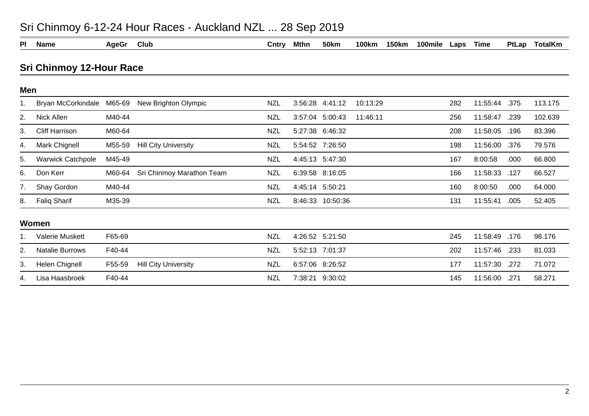| PI  | <b>Name</b>              | <b>AgeGr</b> | <b>Club</b>                 | Cntry      | Mthn            | <b>50km</b>     | <b>100km</b> | <b>150km</b> | 100mile | Laps | <b>Time</b> | PtLap | <b>TotalKm</b> |
|-----|--------------------------|--------------|-----------------------------|------------|-----------------|-----------------|--------------|--------------|---------|------|-------------|-------|----------------|
|     | Sri Chinmoy 12-Hour Race |              |                             |            |                 |                 |              |              |         |      |             |       |                |
| Men |                          |              |                             |            |                 |                 |              |              |         |      |             |       |                |
|     | Bryan McCorkindale       | M65-69       | New Brighton Olympic        | <b>NZL</b> | 3:56:28         | 4:41:12         | 10:13:29     |              |         | 282  | 11:55:44    | .375  | 113.175        |
| 2.  | Nick Allen               | M40-44       |                             | <b>NZL</b> |                 | 3:57:04 5:00:43 | 11:46:11     |              |         | 256  | 11:58:47    | .239  | 102.639        |
| 3.  | <b>Cliff Harrison</b>    | M60-64       |                             | <b>NZL</b> |                 | 5:27:38 6:46:32 |              |              |         | 208  | 11:58:05    | .196  | 83.396         |
| 4.  | Mark Chignell            | M55-59       | <b>Hill City University</b> | <b>NZL</b> |                 | 5:54:52 7:26:50 |              |              |         | 198  | 11:56:00    | .376  | 79.576         |
| 5.  | <b>Warwick Catchpole</b> | M45-49       |                             | <b>NZL</b> |                 | 4:45:13 5:47:30 |              |              |         | 167  | 8:00:58     | .000  | 66.800         |
| 6.  | Don Kerr                 | M60-64       | Sri Chinmoy Marathon Team   | <b>NZL</b> |                 | 6:39:58 8:16:05 |              |              |         | 166  | 11:58:33    | .127  | 66.527         |
| 7.  | Shay Gordon              | M40-44       |                             | <b>NZL</b> | 4:45:14 5:50:21 |                 |              |              |         | 160  | 8:00:50     | .000  | 64.000         |
| 8.  | <b>Faliq Sharif</b>      | M35-39       |                             | <b>NZL</b> | 8:46:33         | 10:50:36        |              |              |         | 131  | 11:55:41    | .005  | 52.405         |
|     | Women                    |              |                             |            |                 |                 |              |              |         |      |             |       |                |
|     | <b>Valerie Muskett</b>   | F65-69       |                             | <b>NZL</b> |                 | 4:26:52 5:21:50 |              |              |         | 245  | 11:58:49    | .176  | 98.176         |
| 2.  | <b>Natalie Burrows</b>   | F40-44       |                             | <b>NZL</b> |                 | 5:52:13 7:01:37 |              |              |         | 202  | 11:57:46    | .233  | 81.033         |
| 3.  | Helen Chignell           | F55-59       | <b>Hill City University</b> | <b>NZL</b> |                 | 6:57:06 8:26:52 |              |              |         | 177  | 11:57:30    | .272  | 71.072         |
| 4.  | Lisa Haasbroek           | F40-44       |                             | <b>NZL</b> |                 | 7:38:21 9:30:02 |              |              |         | 145  | 11:56:00    | .271  | 58.271         |

## Sri Chinmoy 6-12-24 Hour Races - Auckland NZL ... 28 Sep 2019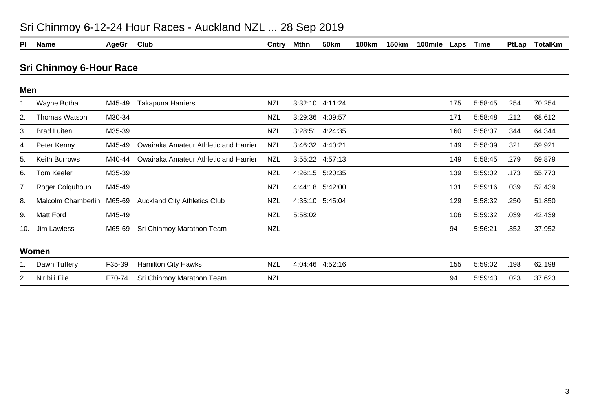| Sri Chinmoy 6-12-24 Hour Races - Auckland NZL  28 Sep 2019 |  |  |
|------------------------------------------------------------|--|--|
|------------------------------------------------------------|--|--|

| PI  | <b>Name</b>                    | <b>AgeGr</b> | Club                                  | Cntry      | <b>Mthn</b> | <b>50km</b>     | 100km | <b>150km</b> | 100mile | Laps | Time    | PtLap | <b>TotalKm</b> |
|-----|--------------------------------|--------------|---------------------------------------|------------|-------------|-----------------|-------|--------------|---------|------|---------|-------|----------------|
|     | <b>Sri Chinmoy 6-Hour Race</b> |              |                                       |            |             |                 |       |              |         |      |         |       |                |
| Men |                                |              |                                       |            |             |                 |       |              |         |      |         |       |                |
|     | Wayne Botha                    | M45-49       | <b>Takapuna Harriers</b>              | <b>NZL</b> |             | 3:32:10 4:11:24 |       |              |         | 175  | 5:58:45 | .254  | 70.254         |
| 2.  | Thomas Watson                  | M30-34       |                                       | <b>NZL</b> |             | 3:29:36 4:09:57 |       |              |         | 171  | 5:58:48 | .212  | 68.612         |
| 3.  | <b>Brad Luiten</b>             | M35-39       |                                       | <b>NZL</b> |             | 3:28:51 4:24:35 |       |              |         | 160  | 5:58:07 | .344  | 64.344         |
| 4.  | Peter Kenny                    | M45-49       | Owairaka Amateur Athletic and Harrier | <b>NZL</b> |             | 3:46:32 4:40:21 |       |              |         | 149  | 5:58:09 | .321  | 59.921         |
| 5.  | <b>Keith Burrows</b>           | M40-44       | Owairaka Amateur Athletic and Harrier | <b>NZL</b> |             | 3:55:22 4:57:13 |       |              |         | 149  | 5:58:45 | .279  | 59.879         |
| 6.  | Tom Keeler                     | M35-39       |                                       | <b>NZL</b> |             | 4:26:15 5:20:35 |       |              |         | 139  | 5:59:02 | .173  | 55.773         |
| 7.  | Roger Colquhoun                | M45-49       |                                       | <b>NZL</b> |             | 4:44:18 5:42:00 |       |              |         | 131  | 5:59:16 | .039  | 52.439         |
| 8.  | Malcolm Chamberlin             | M65-69       | <b>Auckland City Athletics Club</b>   | <b>NZL</b> |             | 4:35:10 5:45:04 |       |              |         | 129  | 5:58:32 | .250  | 51.850         |
| 9.  | <b>Matt Ford</b>               | M45-49       |                                       | <b>NZL</b> | 5:58:02     |                 |       |              |         | 106  | 5:59:32 | .039  | 42.439         |
| 10. | Jim Lawless                    | M65-69       | Sri Chinmoy Marathon Team             | <b>NZL</b> |             |                 |       |              |         | 94   | 5:56:21 | .352  | 37.952         |
|     | Women                          |              |                                       |            |             |                 |       |              |         |      |         |       |                |
|     | Dawn Tuffery                   | F35-39       | <b>Hamilton City Hawks</b>            | <b>NZL</b> |             | 4:04:46 4:52:16 |       |              |         | 155  | 5:59:02 | .198  | 62.198         |
| 2.  | Niribili File                  | F70-74       | Sri Chinmoy Marathon Team             | <b>NZL</b> |             |                 |       |              |         | 94   | 5:59:43 | .023  | 37.623         |